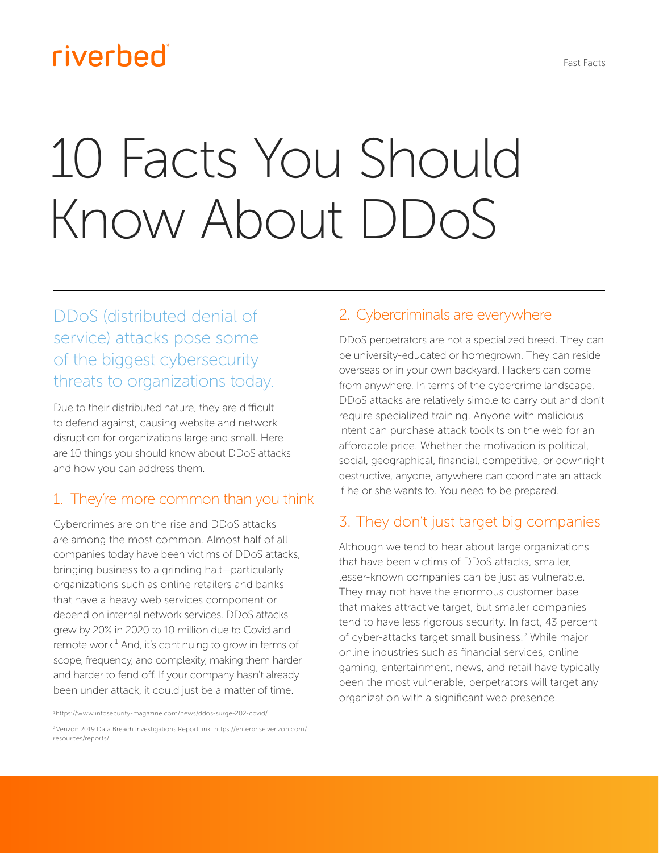## riverbed®

# 10 Facts You Should Know About DDoS

DDoS (distributed denial of service) attacks pose some of the biggest cybersecurity threats to organizations today.

Due to their distributed nature, they are difficult to defend against, causing website and network disruption for organizations large and small. Here are 10 things you should know about DDoS attacks and how you can address them.

#### 1. They're more common than you think

Cybercrimes are on the rise and DDoS attacks are among the most common. Almost half of all companies today have been victims of DDoS attacks, bringing business to a grinding halt—particularly organizations such as online retailers and banks that have a heavy web services component or depend on internal network services. DDoS attacks grew by 20% in 2020 to 10 million due to Covid and remote work. $<sup>1</sup>$  And, it's continuing to grow in terms of</sup> scope, frequency, and complexity, making them harder and harder to fend off. If your company hasn't already been under attack, it could just be a matter of time.

1 <https://www.infosecurity-magazine.com/news/ddos-surge-202-covid/>

#### 2. Cybercriminals are everywhere

DDoS perpetrators are not a specialized breed. They can be university-educated or homegrown. They can reside overseas or in your own backyard. Hackers can come from anywhere. In terms of the cybercrime landscape, DDoS attacks are relatively simple to carry out and don't require specialized training. Anyone with malicious intent can purchase attack toolkits on the web for an affordable price. Whether the motivation is political, social, geographical, financial, competitive, or downright destructive, anyone, anywhere can coordinate an attack if he or she wants to. You need to be prepared.

#### 3. They don't just target big companies

Although we tend to hear about large organizations that have been victims of DDoS attacks, smaller, lesser-known companies can be just as vulnerable. They may not have the enormous customer base that makes attractive target, but smaller companies tend to have less rigorous security. In fact, 43 percent of cyber-attacks target small business.<sup>2</sup> While major online industries such as financial services, online gaming, entertainment, news, and retail have typically been the most vulnerable, perpetrators will target any organization with a significant web presence.

<sup>2</sup> Verizon 2019 Data Breach Investigations Report link: https://enterprise.verizon.com/ resources/reports/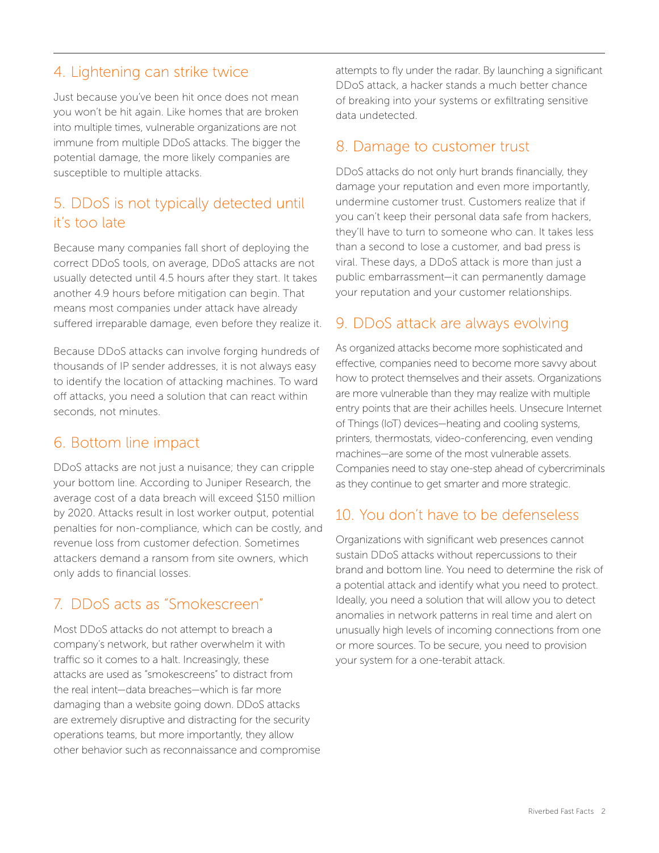#### 4. Lightening can strike twice

Just because you've been hit once does not mean you won't be hit again. Like homes that are broken into multiple times, vulnerable organizations are not immune from multiple DDoS attacks. The bigger the potential damage, the more likely companies are susceptible to multiple attacks.

#### 5. DDoS is not typically detected until it's too late

Because many companies fall short of deploying the correct DDoS tools, on average, DDoS attacks are not usually detected until 4.5 hours after they start. It takes another 4.9 hours before mitigation can begin. That means most companies under attack have already suffered irreparable damage, even before they realize it.

Because DDoS attacks can involve forging hundreds of thousands of IP sender addresses, it is not always easy to identify the location of attacking machines. To ward off attacks, you need a solution that can react within seconds, not minutes.

#### 6. Bottom line impact

DDoS attacks are not just a nuisance; they can cripple your bottom line. According to Juniper Research, the average cost of a data breach will exceed \$150 million by 2020. Attacks result in lost worker output, potential penalties for non-compliance, which can be costly, and revenue loss from customer defection. Sometimes attackers demand a ransom from site owners, which only adds to financial losses.

### 7. DDoS acts as "Smokescreen"

Most DDoS attacks do not attempt to breach a company's network, but rather overwhelm it with traffic so it comes to a halt. Increasingly, these attacks are used as "smokescreens" to distract from the real intent—data breaches—which is far more damaging than a website going down. DDoS attacks are extremely disruptive and distracting for the security operations teams, but more importantly, they allow other behavior such as reconnaissance and compromise attempts to fly under the radar. By launching a significant DDoS attack, a hacker stands a much better chance of breaking into your systems or exfiltrating sensitive data undetected.

#### 8. Damage to customer trust

DDoS attacks do not only hurt brands financially, they damage your reputation and even more importantly, undermine customer trust. Customers realize that if you can't keep their personal data safe from hackers, they'll have to turn to someone who can. It takes less than a second to lose a customer, and bad press is viral. These days, a DDoS attack is more than just a public embarrassment—it can permanently damage your reputation and your customer relationships.

#### 9. DDoS attack are always evolving

As organized attacks become more sophisticated and effective, companies need to become more savvy about how to protect themselves and their assets. Organizations are more vulnerable than they may realize with multiple entry points that are their achilles heels. Unsecure Internet of Things (IoT) devices—heating and cooling systems, printers, thermostats, video-conferencing, even vending machines—are some of the most vulnerable assets. Companies need to stay one-step ahead of cybercriminals as they continue to get smarter and more strategic.

#### 10. You don't have to be defenseless

Organizations with significant web presences cannot sustain DDoS attacks without repercussions to their brand and bottom line. You need to determine the risk of a potential attack and identify what you need to protect. Ideally, you need a solution that will allow you to detect anomalies in network patterns in real time and alert on unusually high levels of incoming connections from one or more sources. To be secure, you need to provision your system for a one-terabit attack.